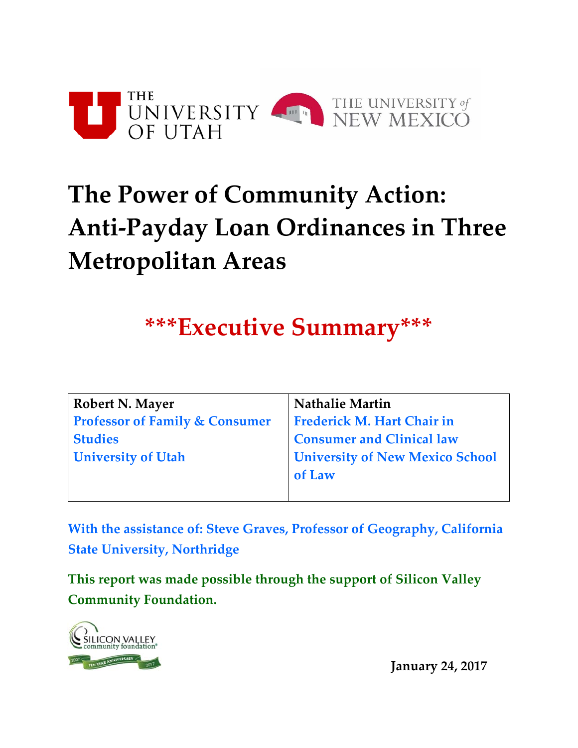

# **The Power of Community Action: Anti-Payday Loan Ordinances in Three Metropolitan Areas**

## **\*\*\*Executive Summary\*\*\***

| <b>Robert N. Mayer</b>                    | <b>Nathalie Martin</b>                 |
|-------------------------------------------|----------------------------------------|
| <b>Professor of Family &amp; Consumer</b> | <b>Frederick M. Hart Chair in</b>      |
| <b>Studies</b>                            | <b>Consumer and Clinical law</b>       |
| <b>University of Utah</b>                 | <b>University of New Mexico School</b> |
|                                           | of Law                                 |
|                                           |                                        |

**With the assistance of: Steve Graves, Professor of Geography, California State University, Northridge** 

**This report was made possible through the support of Silicon Valley Community Foundation.** 



**January 24, 2017**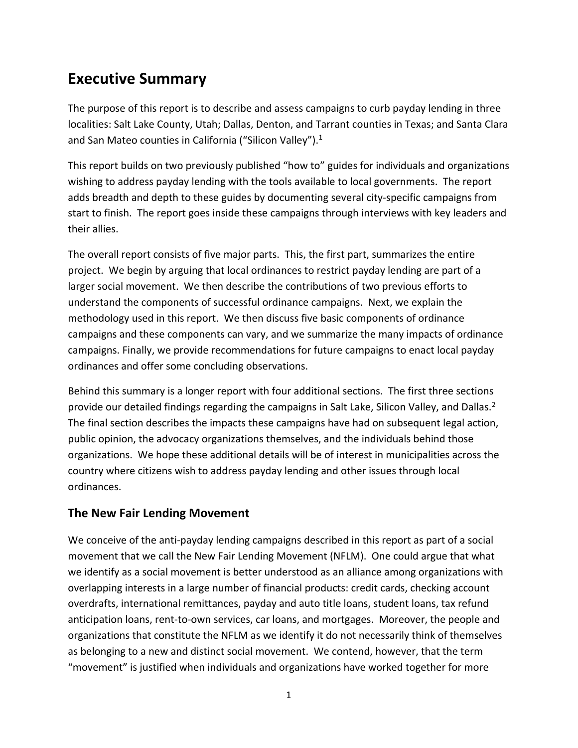## **Executive Summary**

The purpose of this report is to describe and assess campaigns to curb payday lending in three localities: Salt Lake County, Utah; Dallas, Denton, and Tarrant counties in Texas; and Santa Clara and San Mateo counties in California ("Silicon Valley").<sup>1</sup>

This report builds on two previously published "how to" guides for individuals and organizations wishing to address payday lending with the tools available to local governments. The report adds breadth and depth to these guides by documenting several city-specific campaigns from start to finish. The report goes inside these campaigns through interviews with key leaders and their allies.

The overall report consists of five major parts. This, the first part, summarizes the entire project. We begin by arguing that local ordinances to restrict payday lending are part of a larger social movement. We then describe the contributions of two previous efforts to understand the components of successful ordinance campaigns. Next, we explain the methodology used in this report. We then discuss five basic components of ordinance campaigns and these components can vary, and we summarize the many impacts of ordinance campaigns. Finally, we provide recommendations for future campaigns to enact local payday ordinances and offer some concluding observations.

Behind this summary is a longer report with four additional sections. The first three sections provide our detailed findings regarding the campaigns in Salt Lake, Silicon Valley, and Dallas.<sup>2</sup> The final section describes the impacts these campaigns have had on subsequent legal action, public opinion, the advocacy organizations themselves, and the individuals behind those organizations. We hope these additional details will be of interest in municipalities across the country where citizens wish to address payday lending and other issues through local ordinances.

## **The New Fair Lending Movement**

We conceive of the anti-payday lending campaigns described in this report as part of a social movement that we call the New Fair Lending Movement (NFLM). One could argue that what we identify as a social movement is better understood as an alliance among organizations with overlapping interests in a large number of financial products: credit cards, checking account overdrafts, international remittances, payday and auto title loans, student loans, tax refund anticipation loans, rent-to-own services, car loans, and mortgages. Moreover, the people and organizations that constitute the NFLM as we identify it do not necessarily think of themselves as belonging to a new and distinct social movement. We contend, however, that the term "movement" is justified when individuals and organizations have worked together for more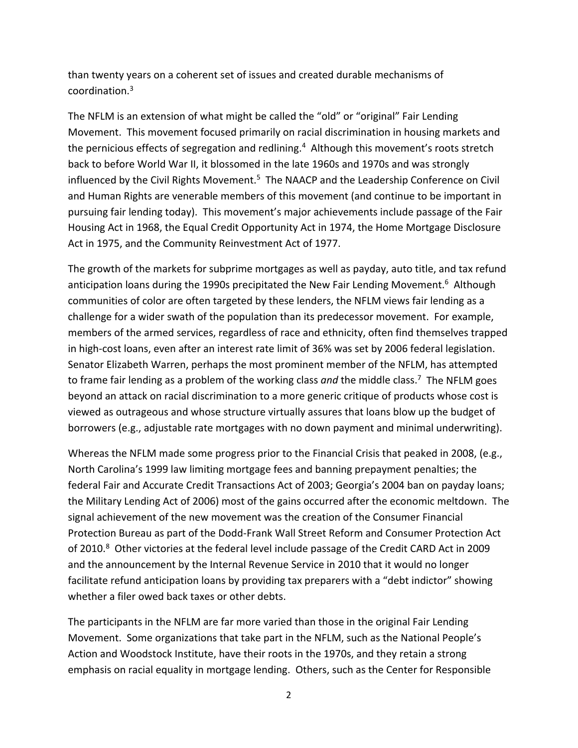than twenty years on a coherent set of issues and created durable mechanisms of coordination.3

The NFLM is an extension of what might be called the "old" or "original" Fair Lending Movement. This movement focused primarily on racial discrimination in housing markets and the pernicious effects of segregation and redlining.<sup>4</sup> Although this movement's roots stretch back to before World War II, it blossomed in the late 1960s and 1970s and was strongly influenced by the Civil Rights Movement.<sup>5</sup> The NAACP and the Leadership Conference on Civil and Human Rights are venerable members of this movement (and continue to be important in pursuing fair lending today). This movement's major achievements include passage of the Fair Housing Act in 1968, the Equal Credit Opportunity Act in 1974, the Home Mortgage Disclosure Act in 1975, and the Community Reinvestment Act of 1977.

The growth of the markets for subprime mortgages as well as payday, auto title, and tax refund anticipation loans during the 1990s precipitated the New Fair Lending Movement.<sup>6</sup> Although communities of color are often targeted by these lenders, the NFLM views fair lending as a challenge for a wider swath of the population than its predecessor movement. For example, members of the armed services, regardless of race and ethnicity, often find themselves trapped in high-cost loans, even after an interest rate limit of 36% was set by 2006 federal legislation. Senator Elizabeth Warren, perhaps the most prominent member of the NFLM, has attempted to frame fair lending as a problem of the working class *and* the middle class.7 The NFLM goes beyond an attack on racial discrimination to a more generic critique of products whose cost is viewed as outrageous and whose structure virtually assures that loans blow up the budget of borrowers (e.g., adjustable rate mortgages with no down payment and minimal underwriting).

Whereas the NFLM made some progress prior to the Financial Crisis that peaked in 2008, (e.g., North Carolina's 1999 law limiting mortgage fees and banning prepayment penalties; the federal Fair and Accurate Credit Transactions Act of 2003; Georgia's 2004 ban on payday loans; the Military Lending Act of 2006) most of the gains occurred after the economic meltdown. The signal achievement of the new movement was the creation of the Consumer Financial Protection Bureau as part of the Dodd-Frank Wall Street Reform and Consumer Protection Act of 2010.<sup>8</sup> Other victories at the federal level include passage of the Credit CARD Act in 2009 and the announcement by the Internal Revenue Service in 2010 that it would no longer facilitate refund anticipation loans by providing tax preparers with a "debt indictor" showing whether a filer owed back taxes or other debts.

The participants in the NFLM are far more varied than those in the original Fair Lending Movement. Some organizations that take part in the NFLM, such as the National People's Action and Woodstock Institute, have their roots in the 1970s, and they retain a strong emphasis on racial equality in mortgage lending. Others, such as the Center for Responsible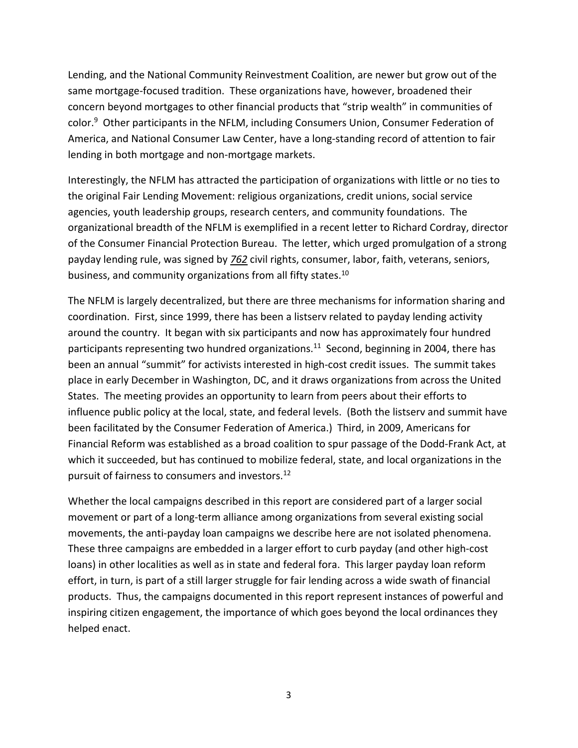Lending, and the National Community Reinvestment Coalition, are newer but grow out of the same mortgage-focused tradition. These organizations have, however, broadened their concern beyond mortgages to other financial products that "strip wealth" in communities of color.<sup>9</sup> Other participants in the NFLM, including Consumers Union, Consumer Federation of America, and National Consumer Law Center, have a long-standing record of attention to fair lending in both mortgage and non-mortgage markets.

Interestingly, the NFLM has attracted the participation of organizations with little or no ties to the original Fair Lending Movement: religious organizations, credit unions, social service agencies, youth leadership groups, research centers, and community foundations. The organizational breadth of the NFLM is exemplified in a recent letter to Richard Cordray, director of the Consumer Financial Protection Bureau. The letter, which urged promulgation of a strong payday lending rule, was signed by *762* civil rights, consumer, labor, faith, veterans, seniors, business, and community organizations from all fifty states.<sup>10</sup>

The NFLM is largely decentralized, but there are three mechanisms for information sharing and coordination. First, since 1999, there has been a listserv related to payday lending activity around the country. It began with six participants and now has approximately four hundred participants representing two hundred organizations.<sup>11</sup> Second, beginning in 2004, there has been an annual "summit" for activists interested in high-cost credit issues. The summit takes place in early December in Washington, DC, and it draws organizations from across the United States. The meeting provides an opportunity to learn from peers about their efforts to influence public policy at the local, state, and federal levels. (Both the listserv and summit have been facilitated by the Consumer Federation of America.) Third, in 2009, Americans for Financial Reform was established as a broad coalition to spur passage of the Dodd-Frank Act, at which it succeeded, but has continued to mobilize federal, state, and local organizations in the pursuit of fairness to consumers and investors.<sup>12</sup>

Whether the local campaigns described in this report are considered part of a larger social movement or part of a long-term alliance among organizations from several existing social movements, the anti-payday loan campaigns we describe here are not isolated phenomena. These three campaigns are embedded in a larger effort to curb payday (and other high-cost loans) in other localities as well as in state and federal fora. This larger payday loan reform effort, in turn, is part of a still larger struggle for fair lending across a wide swath of financial products. Thus, the campaigns documented in this report represent instances of powerful and inspiring citizen engagement, the importance of which goes beyond the local ordinances they helped enact.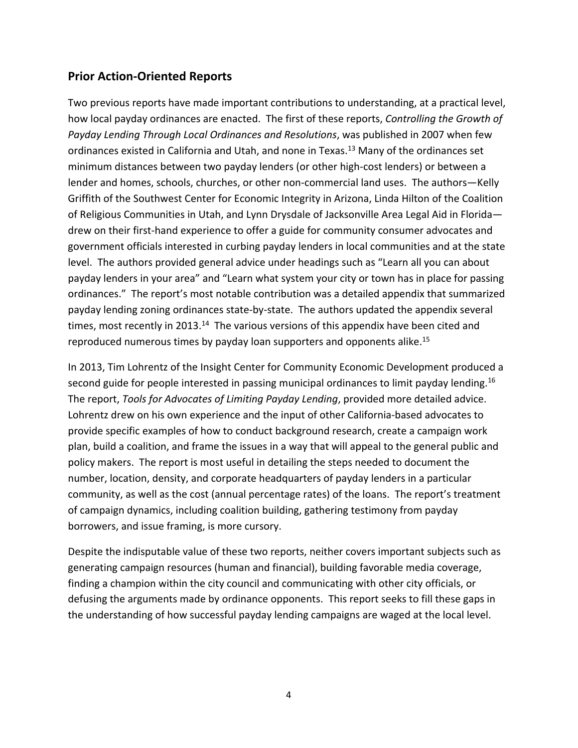## **Prior Action-Oriented Reports**

Two previous reports have made important contributions to understanding, at a practical level, how local payday ordinances are enacted. The first of these reports, *Controlling the Growth of Payday Lending Through Local Ordinances and Resolutions*, was published in 2007 when few ordinances existed in California and Utah, and none in Texas.<sup>13</sup> Many of the ordinances set minimum distances between two payday lenders (or other high-cost lenders) or between a lender and homes, schools, churches, or other non-commercial land uses. The authors—Kelly Griffith of the Southwest Center for Economic Integrity in Arizona, Linda Hilton of the Coalition of Religious Communities in Utah, and Lynn Drysdale of Jacksonville Area Legal Aid in Florida drew on their first-hand experience to offer a guide for community consumer advocates and government officials interested in curbing payday lenders in local communities and at the state level. The authors provided general advice under headings such as "Learn all you can about payday lenders in your area" and "Learn what system your city or town has in place for passing ordinances." The report's most notable contribution was a detailed appendix that summarized payday lending zoning ordinances state-by-state. The authors updated the appendix several times, most recently in 2013.<sup>14</sup> The various versions of this appendix have been cited and reproduced numerous times by payday loan supporters and opponents alike.15

In 2013, Tim Lohrentz of the Insight Center for Community Economic Development produced a second guide for people interested in passing municipal ordinances to limit payday lending.<sup>16</sup> The report, *Tools for Advocates of Limiting Payday Lending*, provided more detailed advice. Lohrentz drew on his own experience and the input of other California-based advocates to provide specific examples of how to conduct background research, create a campaign work plan, build a coalition, and frame the issues in a way that will appeal to the general public and policy makers. The report is most useful in detailing the steps needed to document the number, location, density, and corporate headquarters of payday lenders in a particular community, as well as the cost (annual percentage rates) of the loans. The report's treatment of campaign dynamics, including coalition building, gathering testimony from payday borrowers, and issue framing, is more cursory.

Despite the indisputable value of these two reports, neither covers important subjects such as generating campaign resources (human and financial), building favorable media coverage, finding a champion within the city council and communicating with other city officials, or defusing the arguments made by ordinance opponents. This report seeks to fill these gaps in the understanding of how successful payday lending campaigns are waged at the local level.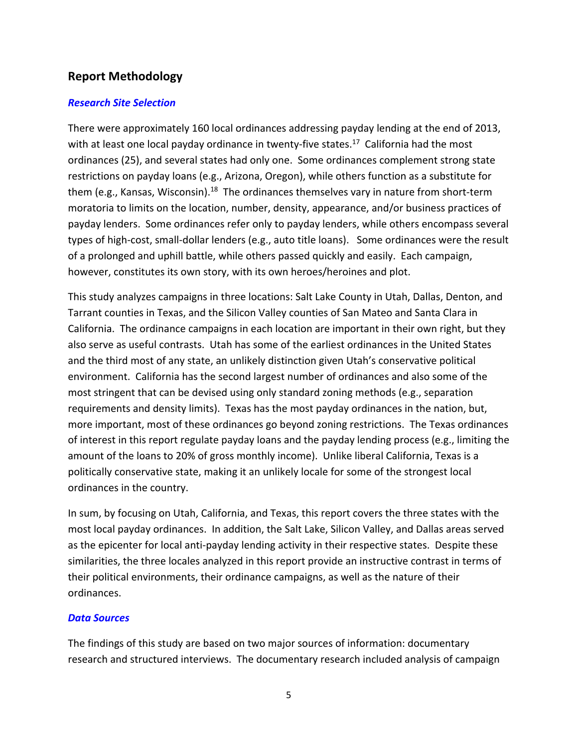## **Report Methodology**

#### *Research Site Selection*

There were approximately 160 local ordinances addressing payday lending at the end of 2013, with at least one local payday ordinance in twenty-five states.<sup>17</sup> California had the most ordinances (25), and several states had only one. Some ordinances complement strong state restrictions on payday loans (e.g., Arizona, Oregon), while others function as a substitute for them (e.g., Kansas, Wisconsin).<sup>18</sup> The ordinances themselves vary in nature from short-term moratoria to limits on the location, number, density, appearance, and/or business practices of payday lenders. Some ordinances refer only to payday lenders, while others encompass several types of high-cost, small-dollar lenders (e.g., auto title loans). Some ordinances were the result of a prolonged and uphill battle, while others passed quickly and easily. Each campaign, however, constitutes its own story, with its own heroes/heroines and plot.

This study analyzes campaigns in three locations: Salt Lake County in Utah, Dallas, Denton, and Tarrant counties in Texas, and the Silicon Valley counties of San Mateo and Santa Clara in California. The ordinance campaigns in each location are important in their own right, but they also serve as useful contrasts. Utah has some of the earliest ordinances in the United States and the third most of any state, an unlikely distinction given Utah's conservative political environment. California has the second largest number of ordinances and also some of the most stringent that can be devised using only standard zoning methods (e.g., separation requirements and density limits). Texas has the most payday ordinances in the nation, but, more important, most of these ordinances go beyond zoning restrictions. The Texas ordinances of interest in this report regulate payday loans and the payday lending process (e.g., limiting the amount of the loans to 20% of gross monthly income). Unlike liberal California, Texas is a politically conservative state, making it an unlikely locale for some of the strongest local ordinances in the country.

In sum, by focusing on Utah, California, and Texas, this report covers the three states with the most local payday ordinances. In addition, the Salt Lake, Silicon Valley, and Dallas areas served as the epicenter for local anti-payday lending activity in their respective states. Despite these similarities, the three locales analyzed in this report provide an instructive contrast in terms of their political environments, their ordinance campaigns, as well as the nature of their ordinances.

## *Data Sources*

The findings of this study are based on two major sources of information: documentary research and structured interviews. The documentary research included analysis of campaign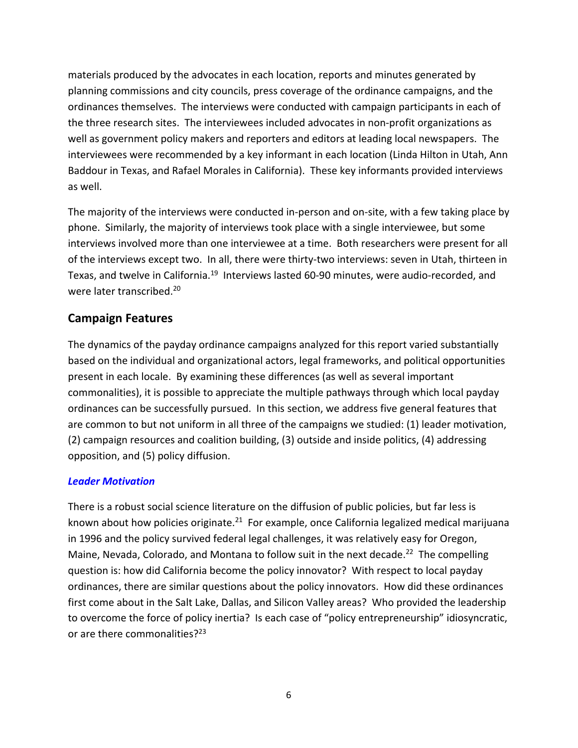materials produced by the advocates in each location, reports and minutes generated by planning commissions and city councils, press coverage of the ordinance campaigns, and the ordinances themselves. The interviews were conducted with campaign participants in each of the three research sites. The interviewees included advocates in non-profit organizations as well as government policy makers and reporters and editors at leading local newspapers. The interviewees were recommended by a key informant in each location (Linda Hilton in Utah, Ann Baddour in Texas, and Rafael Morales in California). These key informants provided interviews as well.

The majority of the interviews were conducted in-person and on-site, with a few taking place by phone. Similarly, the majority of interviews took place with a single interviewee, but some interviews involved more than one interviewee at a time. Both researchers were present for all of the interviews except two. In all, there were thirty-two interviews: seven in Utah, thirteen in Texas, and twelve in California.<sup>19</sup> Interviews lasted 60-90 minutes, were audio-recorded, and were later transcribed.<sup>20</sup>

## **Campaign Features**

The dynamics of the payday ordinance campaigns analyzed for this report varied substantially based on the individual and organizational actors, legal frameworks, and political opportunities present in each locale. By examining these differences (as well as several important commonalities), it is possible to appreciate the multiple pathways through which local payday ordinances can be successfully pursued. In this section, we address five general features that are common to but not uniform in all three of the campaigns we studied: (1) leader motivation, (2) campaign resources and coalition building, (3) outside and inside politics, (4) addressing opposition, and (5) policy diffusion.

## *Leader Motivation*

There is a robust social science literature on the diffusion of public policies, but far less is known about how policies originate. $21$  For example, once California legalized medical marijuana in 1996 and the policy survived federal legal challenges, it was relatively easy for Oregon, Maine, Nevada, Colorado, and Montana to follow suit in the next decade.<sup>22</sup> The compelling question is: how did California become the policy innovator? With respect to local payday ordinances, there are similar questions about the policy innovators. How did these ordinances first come about in the Salt Lake, Dallas, and Silicon Valley areas? Who provided the leadership to overcome the force of policy inertia? Is each case of "policy entrepreneurship" idiosyncratic, or are there commonalities?<sup>23</sup>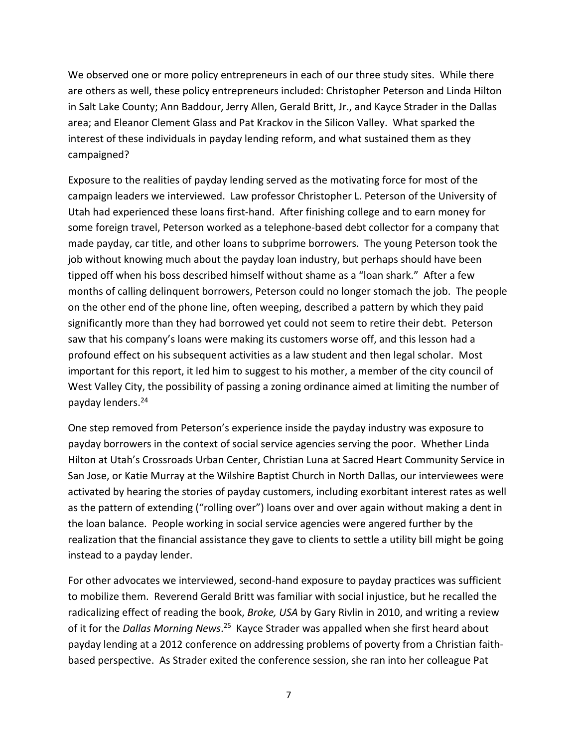We observed one or more policy entrepreneurs in each of our three study sites. While there are others as well, these policy entrepreneurs included: Christopher Peterson and Linda Hilton in Salt Lake County; Ann Baddour, Jerry Allen, Gerald Britt, Jr., and Kayce Strader in the Dallas area; and Eleanor Clement Glass and Pat Krackov in the Silicon Valley. What sparked the interest of these individuals in payday lending reform, and what sustained them as they campaigned?

Exposure to the realities of payday lending served as the motivating force for most of the campaign leaders we interviewed. Law professor Christopher L. Peterson of the University of Utah had experienced these loans first-hand. After finishing college and to earn money for some foreign travel, Peterson worked as a telephone-based debt collector for a company that made payday, car title, and other loans to subprime borrowers. The young Peterson took the job without knowing much about the payday loan industry, but perhaps should have been tipped off when his boss described himself without shame as a "loan shark." After a few months of calling delinquent borrowers, Peterson could no longer stomach the job. The people on the other end of the phone line, often weeping, described a pattern by which they paid significantly more than they had borrowed yet could not seem to retire their debt. Peterson saw that his company's loans were making its customers worse off, and this lesson had a profound effect on his subsequent activities as a law student and then legal scholar. Most important for this report, it led him to suggest to his mother, a member of the city council of West Valley City, the possibility of passing a zoning ordinance aimed at limiting the number of payday lenders.24

One step removed from Peterson's experience inside the payday industry was exposure to payday borrowers in the context of social service agencies serving the poor. Whether Linda Hilton at Utah's Crossroads Urban Center, Christian Luna at Sacred Heart Community Service in San Jose, or Katie Murray at the Wilshire Baptist Church in North Dallas, our interviewees were activated by hearing the stories of payday customers, including exorbitant interest rates as well as the pattern of extending ("rolling over") loans over and over again without making a dent in the loan balance. People working in social service agencies were angered further by the realization that the financial assistance they gave to clients to settle a utility bill might be going instead to a payday lender.

For other advocates we interviewed, second-hand exposure to payday practices was sufficient to mobilize them. Reverend Gerald Britt was familiar with social injustice, but he recalled the radicalizing effect of reading the book, *Broke, USA* by Gary Rivlin in 2010, and writing a review of it for the *Dallas Morning News*. 25 Kayce Strader was appalled when she first heard about payday lending at a 2012 conference on addressing problems of poverty from a Christian faithbased perspective. As Strader exited the conference session, she ran into her colleague Pat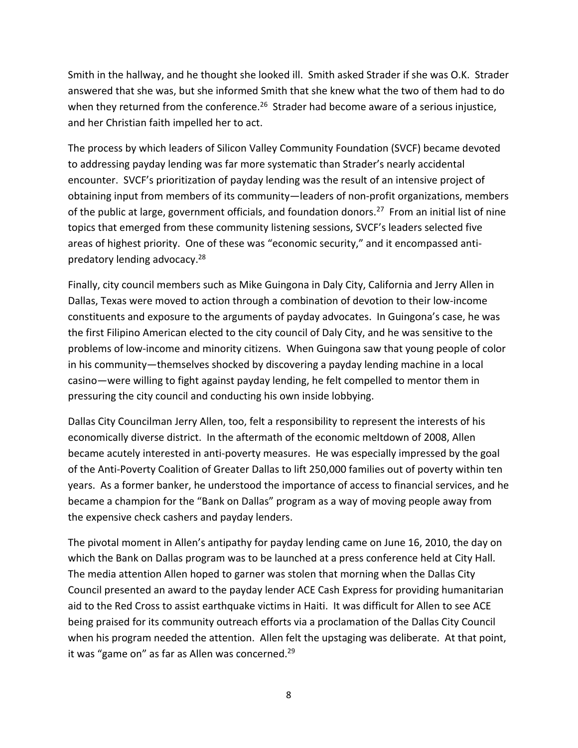Smith in the hallway, and he thought she looked ill. Smith asked Strader if she was O.K. Strader answered that she was, but she informed Smith that she knew what the two of them had to do when they returned from the conference.<sup>26</sup> Strader had become aware of a serious injustice, and her Christian faith impelled her to act.

The process by which leaders of Silicon Valley Community Foundation (SVCF) became devoted to addressing payday lending was far more systematic than Strader's nearly accidental encounter. SVCF's prioritization of payday lending was the result of an intensive project of obtaining input from members of its community—leaders of non-profit organizations, members of the public at large, government officials, and foundation donors.<sup>27</sup> From an initial list of nine topics that emerged from these community listening sessions, SVCF's leaders selected five areas of highest priority. One of these was "economic security," and it encompassed antipredatory lending advocacy.<sup>28</sup>

Finally, city council members such as Mike Guingona in Daly City, California and Jerry Allen in Dallas, Texas were moved to action through a combination of devotion to their low-income constituents and exposure to the arguments of payday advocates. In Guingona's case, he was the first Filipino American elected to the city council of Daly City, and he was sensitive to the problems of low-income and minority citizens. When Guingona saw that young people of color in his community—themselves shocked by discovering a payday lending machine in a local casino—were willing to fight against payday lending, he felt compelled to mentor them in pressuring the city council and conducting his own inside lobbying.

Dallas City Councilman Jerry Allen, too, felt a responsibility to represent the interests of his economically diverse district. In the aftermath of the economic meltdown of 2008, Allen became acutely interested in anti-poverty measures. He was especially impressed by the goal of the Anti-Poverty Coalition of Greater Dallas to lift 250,000 families out of poverty within ten years. As a former banker, he understood the importance of access to financial services, and he became a champion for the "Bank on Dallas" program as a way of moving people away from the expensive check cashers and payday lenders.

The pivotal moment in Allen's antipathy for payday lending came on June 16, 2010, the day on which the Bank on Dallas program was to be launched at a press conference held at City Hall. The media attention Allen hoped to garner was stolen that morning when the Dallas City Council presented an award to the payday lender ACE Cash Express for providing humanitarian aid to the Red Cross to assist earthquake victims in Haiti. It was difficult for Allen to see ACE being praised for its community outreach efforts via a proclamation of the Dallas City Council when his program needed the attention. Allen felt the upstaging was deliberate. At that point, it was "game on" as far as Allen was concerned. $29$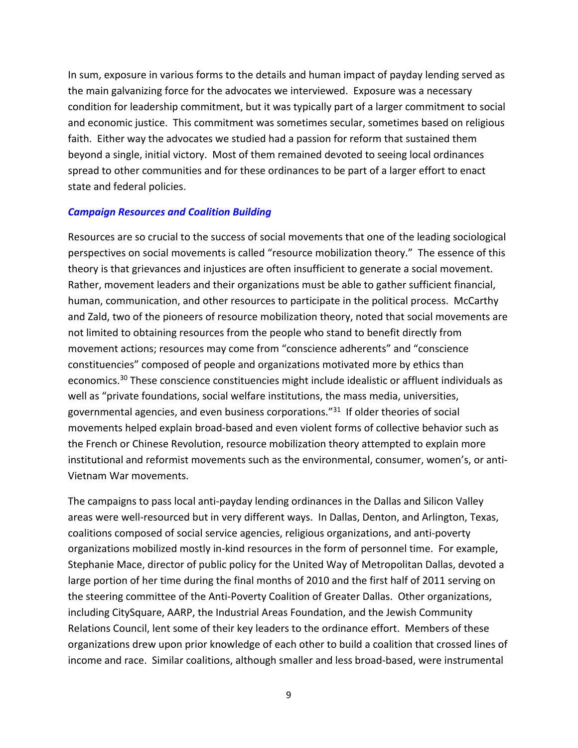In sum, exposure in various forms to the details and human impact of payday lending served as the main galvanizing force for the advocates we interviewed. Exposure was a necessary condition for leadership commitment, but it was typically part of a larger commitment to social and economic justice. This commitment was sometimes secular, sometimes based on religious faith. Either way the advocates we studied had a passion for reform that sustained them beyond a single, initial victory. Most of them remained devoted to seeing local ordinances spread to other communities and for these ordinances to be part of a larger effort to enact state and federal policies.

#### *Campaign Resources and Coalition Building*

Resources are so crucial to the success of social movements that one of the leading sociological perspectives on social movements is called "resource mobilization theory." The essence of this theory is that grievances and injustices are often insufficient to generate a social movement. Rather, movement leaders and their organizations must be able to gather sufficient financial, human, communication, and other resources to participate in the political process. McCarthy and Zald, two of the pioneers of resource mobilization theory, noted that social movements are not limited to obtaining resources from the people who stand to benefit directly from movement actions; resources may come from "conscience adherents" and "conscience constituencies" composed of people and organizations motivated more by ethics than economics.<sup>30</sup> These conscience constituencies might include idealistic or affluent individuals as well as "private foundations, social welfare institutions, the mass media, universities, governmental agencies, and even business corporations."31 If older theories of social movements helped explain broad-based and even violent forms of collective behavior such as the French or Chinese Revolution, resource mobilization theory attempted to explain more institutional and reformist movements such as the environmental, consumer, women's, or anti-Vietnam War movements.

The campaigns to pass local anti-payday lending ordinances in the Dallas and Silicon Valley areas were well-resourced but in very different ways. In Dallas, Denton, and Arlington, Texas, coalitions composed of social service agencies, religious organizations, and anti-poverty organizations mobilized mostly in-kind resources in the form of personnel time. For example, Stephanie Mace, director of public policy for the United Way of Metropolitan Dallas, devoted a large portion of her time during the final months of 2010 and the first half of 2011 serving on the steering committee of the Anti-Poverty Coalition of Greater Dallas. Other organizations, including CitySquare, AARP, the Industrial Areas Foundation, and the Jewish Community Relations Council, lent some of their key leaders to the ordinance effort. Members of these organizations drew upon prior knowledge of each other to build a coalition that crossed lines of income and race. Similar coalitions, although smaller and less broad-based, were instrumental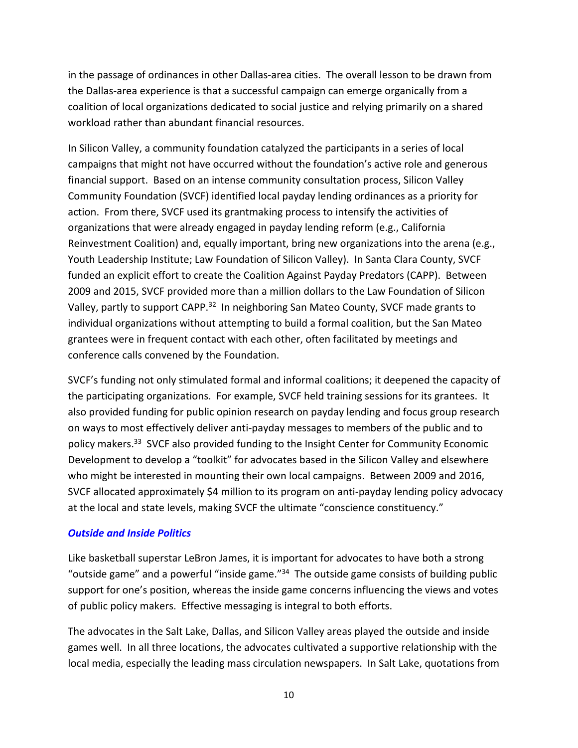in the passage of ordinances in other Dallas-area cities. The overall lesson to be drawn from the Dallas-area experience is that a successful campaign can emerge organically from a coalition of local organizations dedicated to social justice and relying primarily on a shared workload rather than abundant financial resources.

In Silicon Valley, a community foundation catalyzed the participants in a series of local campaigns that might not have occurred without the foundation's active role and generous financial support. Based on an intense community consultation process, Silicon Valley Community Foundation (SVCF) identified local payday lending ordinances as a priority for action. From there, SVCF used its grantmaking process to intensify the activities of organizations that were already engaged in payday lending reform (e.g., California Reinvestment Coalition) and, equally important, bring new organizations into the arena (e.g., Youth Leadership Institute; Law Foundation of Silicon Valley). In Santa Clara County, SVCF funded an explicit effort to create the Coalition Against Payday Predators (CAPP). Between 2009 and 2015, SVCF provided more than a million dollars to the Law Foundation of Silicon Valley, partly to support CAPP.<sup>32</sup> In neighboring San Mateo County, SVCF made grants to individual organizations without attempting to build a formal coalition, but the San Mateo grantees were in frequent contact with each other, often facilitated by meetings and conference calls convened by the Foundation.

SVCF's funding not only stimulated formal and informal coalitions; it deepened the capacity of the participating organizations. For example, SVCF held training sessions for its grantees. It also provided funding for public opinion research on payday lending and focus group research on ways to most effectively deliver anti-payday messages to members of the public and to policy makers.33 SVCF also provided funding to the Insight Center for Community Economic Development to develop a "toolkit" for advocates based in the Silicon Valley and elsewhere who might be interested in mounting their own local campaigns. Between 2009 and 2016, SVCF allocated approximately \$4 million to its program on anti-payday lending policy advocacy at the local and state levels, making SVCF the ultimate "conscience constituency."

#### *Outside and Inside Politics*

Like basketball superstar LeBron James, it is important for advocates to have both a strong "outside game" and a powerful "inside game."34 The outside game consists of building public support for one's position, whereas the inside game concerns influencing the views and votes of public policy makers. Effective messaging is integral to both efforts.

The advocates in the Salt Lake, Dallas, and Silicon Valley areas played the outside and inside games well. In all three locations, the advocates cultivated a supportive relationship with the local media, especially the leading mass circulation newspapers. In Salt Lake, quotations from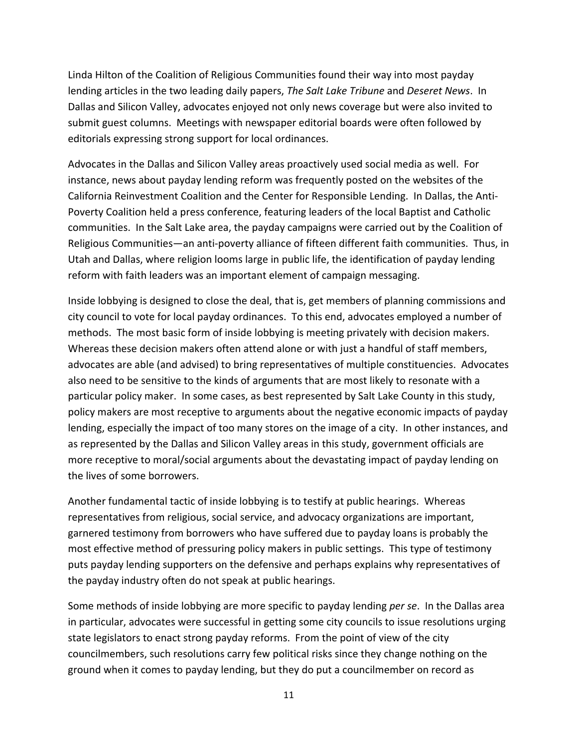Linda Hilton of the Coalition of Religious Communities found their way into most payday lending articles in the two leading daily papers, *The Salt Lake Tribune* and *Deseret News*. In Dallas and Silicon Valley, advocates enjoyed not only news coverage but were also invited to submit guest columns. Meetings with newspaper editorial boards were often followed by editorials expressing strong support for local ordinances.

Advocates in the Dallas and Silicon Valley areas proactively used social media as well. For instance, news about payday lending reform was frequently posted on the websites of the California Reinvestment Coalition and the Center for Responsible Lending. In Dallas, the Anti-Poverty Coalition held a press conference, featuring leaders of the local Baptist and Catholic communities. In the Salt Lake area, the payday campaigns were carried out by the Coalition of Religious Communities—an anti-poverty alliance of fifteen different faith communities. Thus, in Utah and Dallas, where religion looms large in public life, the identification of payday lending reform with faith leaders was an important element of campaign messaging.

Inside lobbying is designed to close the deal, that is, get members of planning commissions and city council to vote for local payday ordinances. To this end, advocates employed a number of methods. The most basic form of inside lobbying is meeting privately with decision makers. Whereas these decision makers often attend alone or with just a handful of staff members, advocates are able (and advised) to bring representatives of multiple constituencies. Advocates also need to be sensitive to the kinds of arguments that are most likely to resonate with a particular policy maker. In some cases, as best represented by Salt Lake County in this study, policy makers are most receptive to arguments about the negative economic impacts of payday lending, especially the impact of too many stores on the image of a city. In other instances, and as represented by the Dallas and Silicon Valley areas in this study, government officials are more receptive to moral/social arguments about the devastating impact of payday lending on the lives of some borrowers.

Another fundamental tactic of inside lobbying is to testify at public hearings. Whereas representatives from religious, social service, and advocacy organizations are important, garnered testimony from borrowers who have suffered due to payday loans is probably the most effective method of pressuring policy makers in public settings. This type of testimony puts payday lending supporters on the defensive and perhaps explains why representatives of the payday industry often do not speak at public hearings.

Some methods of inside lobbying are more specific to payday lending *per se*. In the Dallas area in particular, advocates were successful in getting some city councils to issue resolutions urging state legislators to enact strong payday reforms. From the point of view of the city councilmembers, such resolutions carry few political risks since they change nothing on the ground when it comes to payday lending, but they do put a councilmember on record as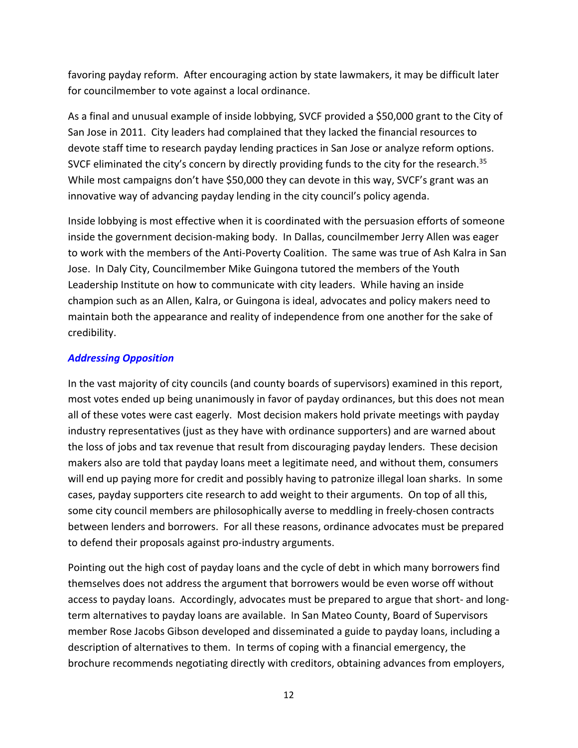favoring payday reform. After encouraging action by state lawmakers, it may be difficult later for councilmember to vote against a local ordinance.

As a final and unusual example of inside lobbying, SVCF provided a \$50,000 grant to the City of San Jose in 2011. City leaders had complained that they lacked the financial resources to devote staff time to research payday lending practices in San Jose or analyze reform options. SVCF eliminated the city's concern by directly providing funds to the city for the research.<sup>35</sup> While most campaigns don't have \$50,000 they can devote in this way, SVCF's grant was an innovative way of advancing payday lending in the city council's policy agenda.

Inside lobbying is most effective when it is coordinated with the persuasion efforts of someone inside the government decision-making body. In Dallas, councilmember Jerry Allen was eager to work with the members of the Anti-Poverty Coalition. The same was true of Ash Kalra in San Jose. In Daly City, Councilmember Mike Guingona tutored the members of the Youth Leadership Institute on how to communicate with city leaders. While having an inside champion such as an Allen, Kalra, or Guingona is ideal, advocates and policy makers need to maintain both the appearance and reality of independence from one another for the sake of credibility.

#### *Addressing Opposition*

In the vast majority of city councils (and county boards of supervisors) examined in this report, most votes ended up being unanimously in favor of payday ordinances, but this does not mean all of these votes were cast eagerly. Most decision makers hold private meetings with payday industry representatives (just as they have with ordinance supporters) and are warned about the loss of jobs and tax revenue that result from discouraging payday lenders. These decision makers also are told that payday loans meet a legitimate need, and without them, consumers will end up paying more for credit and possibly having to patronize illegal loan sharks. In some cases, payday supporters cite research to add weight to their arguments. On top of all this, some city council members are philosophically averse to meddling in freely-chosen contracts between lenders and borrowers. For all these reasons, ordinance advocates must be prepared to defend their proposals against pro-industry arguments.

Pointing out the high cost of payday loans and the cycle of debt in which many borrowers find themselves does not address the argument that borrowers would be even worse off without access to payday loans. Accordingly, advocates must be prepared to argue that short- and longterm alternatives to payday loans are available. In San Mateo County, Board of Supervisors member Rose Jacobs Gibson developed and disseminated a guide to payday loans, including a description of alternatives to them. In terms of coping with a financial emergency, the brochure recommends negotiating directly with creditors, obtaining advances from employers,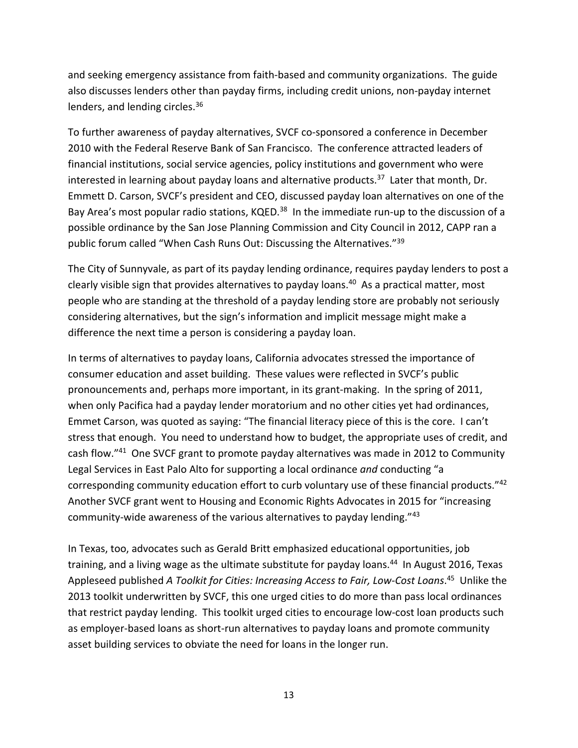and seeking emergency assistance from faith-based and community organizations. The guide also discusses lenders other than payday firms, including credit unions, non-payday internet lenders, and lending circles.<sup>36</sup>

To further awareness of payday alternatives, SVCF co-sponsored a conference in December 2010 with the Federal Reserve Bank of San Francisco. The conference attracted leaders of financial institutions, social service agencies, policy institutions and government who were interested in learning about payday loans and alternative products.<sup>37</sup> Later that month, Dr. Emmett D. Carson, SVCF's president and CEO, discussed payday loan alternatives on one of the Bay Area's most popular radio stations, KQED.<sup>38</sup> In the immediate run-up to the discussion of a possible ordinance by the San Jose Planning Commission and City Council in 2012, CAPP ran a public forum called "When Cash Runs Out: Discussing the Alternatives."<sup>39</sup>

The City of Sunnyvale, as part of its payday lending ordinance, requires payday lenders to post a clearly visible sign that provides alternatives to payday loans.<sup>40</sup> As a practical matter, most people who are standing at the threshold of a payday lending store are probably not seriously considering alternatives, but the sign's information and implicit message might make a difference the next time a person is considering a payday loan.

In terms of alternatives to payday loans, California advocates stressed the importance of consumer education and asset building. These values were reflected in SVCF's public pronouncements and, perhaps more important, in its grant-making. In the spring of 2011, when only Pacifica had a payday lender moratorium and no other cities yet had ordinances, Emmet Carson, was quoted as saying: "The financial literacy piece of this is the core. I can't stress that enough. You need to understand how to budget, the appropriate uses of credit, and cash flow."41 One SVCF grant to promote payday alternatives was made in 2012 to Community Legal Services in East Palo Alto for supporting a local ordinance *and* conducting "a corresponding community education effort to curb voluntary use of these financial products."42 Another SVCF grant went to Housing and Economic Rights Advocates in 2015 for "increasing community-wide awareness of the various alternatives to payday lending."43

In Texas, too, advocates such as Gerald Britt emphasized educational opportunities, job training, and a living wage as the ultimate substitute for payday loans.<sup>44</sup> In August 2016, Texas Appleseed published *A Toolkit for Cities: Increasing Access to Fair, Low-Cost Loans*. 45 Unlike the 2013 toolkit underwritten by SVCF, this one urged cities to do more than pass local ordinances that restrict payday lending. This toolkit urged cities to encourage low-cost loan products such as employer-based loans as short-run alternatives to payday loans and promote community asset building services to obviate the need for loans in the longer run.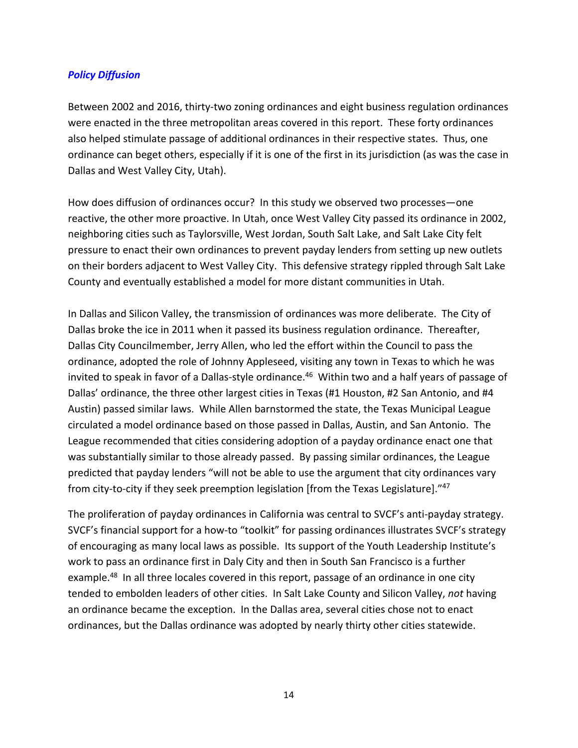#### *Policy Diffusion*

Between 2002 and 2016, thirty-two zoning ordinances and eight business regulation ordinances were enacted in the three metropolitan areas covered in this report. These forty ordinances also helped stimulate passage of additional ordinances in their respective states. Thus, one ordinance can beget others, especially if it is one of the first in its jurisdiction (as was the case in Dallas and West Valley City, Utah).

How does diffusion of ordinances occur? In this study we observed two processes—one reactive, the other more proactive. In Utah, once West Valley City passed its ordinance in 2002, neighboring cities such as Taylorsville, West Jordan, South Salt Lake, and Salt Lake City felt pressure to enact their own ordinances to prevent payday lenders from setting up new outlets on their borders adjacent to West Valley City. This defensive strategy rippled through Salt Lake County and eventually established a model for more distant communities in Utah.

In Dallas and Silicon Valley, the transmission of ordinances was more deliberate. The City of Dallas broke the ice in 2011 when it passed its business regulation ordinance. Thereafter, Dallas City Councilmember, Jerry Allen, who led the effort within the Council to pass the ordinance, adopted the role of Johnny Appleseed, visiting any town in Texas to which he was invited to speak in favor of a Dallas-style ordinance.<sup>46</sup> Within two and a half years of passage of Dallas' ordinance, the three other largest cities in Texas (#1 Houston, #2 San Antonio, and #4 Austin) passed similar laws. While Allen barnstormed the state, the Texas Municipal League circulated a model ordinance based on those passed in Dallas, Austin, and San Antonio. The League recommended that cities considering adoption of a payday ordinance enact one that was substantially similar to those already passed. By passing similar ordinances, the League predicted that payday lenders "will not be able to use the argument that city ordinances vary from city-to-city if they seek preemption legislation [from the Texas Legislature]."47

The proliferation of payday ordinances in California was central to SVCF's anti-payday strategy. SVCF's financial support for a how-to "toolkit" for passing ordinances illustrates SVCF's strategy of encouraging as many local laws as possible. Its support of the Youth Leadership Institute's work to pass an ordinance first in Daly City and then in South San Francisco is a further example.<sup>48</sup> In all three locales covered in this report, passage of an ordinance in one city tended to embolden leaders of other cities. In Salt Lake County and Silicon Valley, *not* having an ordinance became the exception. In the Dallas area, several cities chose not to enact ordinances, but the Dallas ordinance was adopted by nearly thirty other cities statewide.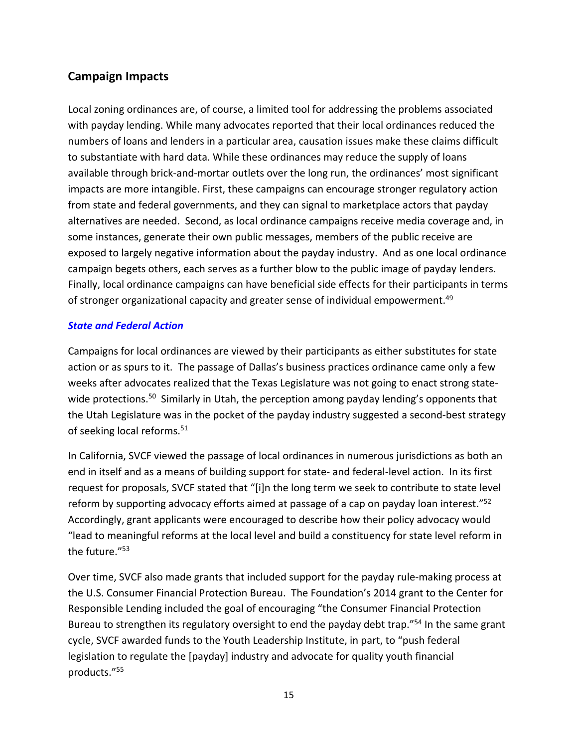## **Campaign Impacts**

Local zoning ordinances are, of course, a limited tool for addressing the problems associated with payday lending. While many advocates reported that their local ordinances reduced the numbers of loans and lenders in a particular area, causation issues make these claims difficult to substantiate with hard data. While these ordinances may reduce the supply of loans available through brick-and-mortar outlets over the long run, the ordinances' most significant impacts are more intangible. First, these campaigns can encourage stronger regulatory action from state and federal governments, and they can signal to marketplace actors that payday alternatives are needed. Second, as local ordinance campaigns receive media coverage and, in some instances, generate their own public messages, members of the public receive are exposed to largely negative information about the payday industry. And as one local ordinance campaign begets others, each serves as a further blow to the public image of payday lenders. Finally, local ordinance campaigns can have beneficial side effects for their participants in terms of stronger organizational capacity and greater sense of individual empowerment.<sup>49</sup>

## *State and Federal Action*

Campaigns for local ordinances are viewed by their participants as either substitutes for state action or as spurs to it. The passage of Dallas's business practices ordinance came only a few weeks after advocates realized that the Texas Legislature was not going to enact strong statewide protections.<sup>50</sup> Similarly in Utah, the perception among payday lending's opponents that the Utah Legislature was in the pocket of the payday industry suggested a second-best strategy of seeking local reforms.51

In California, SVCF viewed the passage of local ordinances in numerous jurisdictions as both an end in itself and as a means of building support for state- and federal-level action. In its first request for proposals, SVCF stated that "[i]n the long term we seek to contribute to state level reform by supporting advocacy efforts aimed at passage of a cap on payday loan interest."<sup>52</sup> Accordingly, grant applicants were encouraged to describe how their policy advocacy would "lead to meaningful reforms at the local level and build a constituency for state level reform in the future."53

Over time, SVCF also made grants that included support for the payday rule-making process at the U.S. Consumer Financial Protection Bureau. The Foundation's 2014 grant to the Center for Responsible Lending included the goal of encouraging "the Consumer Financial Protection Bureau to strengthen its regulatory oversight to end the payday debt trap."<sup>54</sup> In the same grant cycle, SVCF awarded funds to the Youth Leadership Institute, in part, to "push federal legislation to regulate the [payday] industry and advocate for quality youth financial products."55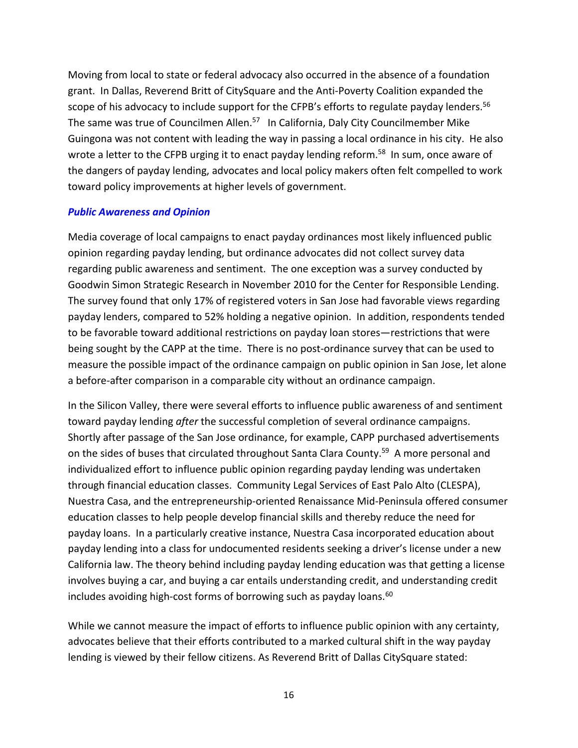Moving from local to state or federal advocacy also occurred in the absence of a foundation grant. In Dallas, Reverend Britt of CitySquare and the Anti-Poverty Coalition expanded the scope of his advocacy to include support for the CFPB's efforts to regulate payday lenders.<sup>56</sup> The same was true of Councilmen Allen.<sup>57</sup> In California, Daly City Councilmember Mike Guingona was not content with leading the way in passing a local ordinance in his city. He also wrote a letter to the CFPB urging it to enact payday lending reform.<sup>58</sup> In sum, once aware of the dangers of payday lending, advocates and local policy makers often felt compelled to work toward policy improvements at higher levels of government.

#### *Public Awareness and Opinion*

Media coverage of local campaigns to enact payday ordinances most likely influenced public opinion regarding payday lending, but ordinance advocates did not collect survey data regarding public awareness and sentiment. The one exception was a survey conducted by Goodwin Simon Strategic Research in November 2010 for the Center for Responsible Lending. The survey found that only 17% of registered voters in San Jose had favorable views regarding payday lenders, compared to 52% holding a negative opinion. In addition, respondents tended to be favorable toward additional restrictions on payday loan stores—restrictions that were being sought by the CAPP at the time. There is no post-ordinance survey that can be used to measure the possible impact of the ordinance campaign on public opinion in San Jose, let alone a before-after comparison in a comparable city without an ordinance campaign.

In the Silicon Valley, there were several efforts to influence public awareness of and sentiment toward payday lending *after* the successful completion of several ordinance campaigns. Shortly after passage of the San Jose ordinance, for example, CAPP purchased advertisements on the sides of buses that circulated throughout Santa Clara County.<sup>59</sup> A more personal and individualized effort to influence public opinion regarding payday lending was undertaken through financial education classes. Community Legal Services of East Palo Alto (CLESPA), Nuestra Casa, and the entrepreneurship-oriented Renaissance Mid-Peninsula offered consumer education classes to help people develop financial skills and thereby reduce the need for payday loans. In a particularly creative instance, Nuestra Casa incorporated education about payday lending into a class for undocumented residents seeking a driver's license under a new California law. The theory behind including payday lending education was that getting a license involves buying a car, and buying a car entails understanding credit, and understanding credit includes avoiding high-cost forms of borrowing such as payday loans.  $60$ 

While we cannot measure the impact of efforts to influence public opinion with any certainty, advocates believe that their efforts contributed to a marked cultural shift in the way payday lending is viewed by their fellow citizens. As Reverend Britt of Dallas CitySquare stated: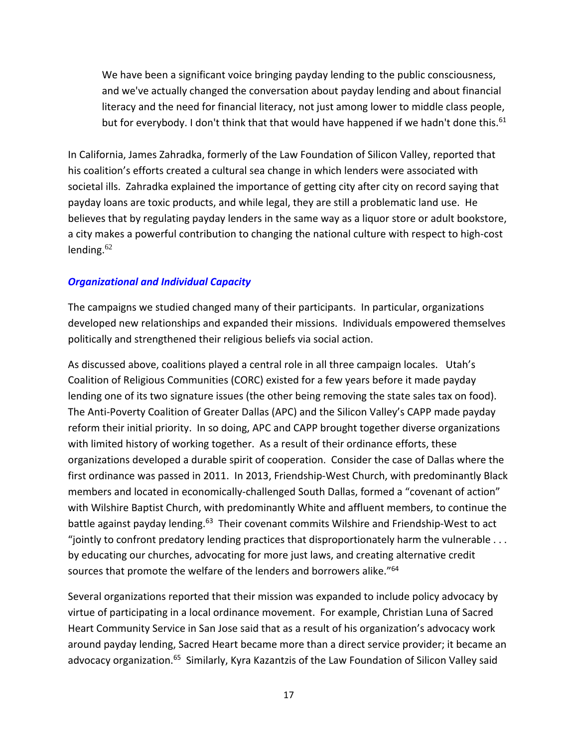We have been a significant voice bringing payday lending to the public consciousness, and we've actually changed the conversation about payday lending and about financial literacy and the need for financial literacy, not just among lower to middle class people, but for everybody. I don't think that that would have happened if we hadn't done this.<sup>61</sup>

In California, James Zahradka, formerly of the Law Foundation of Silicon Valley, reported that his coalition's efforts created a cultural sea change in which lenders were associated with societal ills. Zahradka explained the importance of getting city after city on record saying that payday loans are toxic products, and while legal, they are still a problematic land use. He believes that by regulating payday lenders in the same way as a liquor store or adult bookstore, a city makes a powerful contribution to changing the national culture with respect to high-cost lending. $62$ 

#### *Organizational and Individual Capacity*

The campaigns we studied changed many of their participants. In particular, organizations developed new relationships and expanded their missions. Individuals empowered themselves politically and strengthened their religious beliefs via social action.

As discussed above, coalitions played a central role in all three campaign locales. Utah's Coalition of Religious Communities (CORC) existed for a few years before it made payday lending one of its two signature issues (the other being removing the state sales tax on food). The Anti-Poverty Coalition of Greater Dallas (APC) and the Silicon Valley's CAPP made payday reform their initial priority. In so doing, APC and CAPP brought together diverse organizations with limited history of working together. As a result of their ordinance efforts, these organizations developed a durable spirit of cooperation. Consider the case of Dallas where the first ordinance was passed in 2011. In 2013, Friendship-West Church, with predominantly Black members and located in economically-challenged South Dallas, formed a "covenant of action" with Wilshire Baptist Church, with predominantly White and affluent members, to continue the battle against payday lending.<sup>63</sup> Their covenant commits Wilshire and Friendship-West to act "jointly to confront predatory lending practices that disproportionately harm the vulnerable . . . by educating our churches, advocating for more just laws, and creating alternative credit sources that promote the welfare of the lenders and borrowers alike."<sup>64</sup>

Several organizations reported that their mission was expanded to include policy advocacy by virtue of participating in a local ordinance movement. For example, Christian Luna of Sacred Heart Community Service in San Jose said that as a result of his organization's advocacy work around payday lending, Sacred Heart became more than a direct service provider; it became an advocacy organization.<sup>65</sup> Similarly, Kyra Kazantzis of the Law Foundation of Silicon Valley said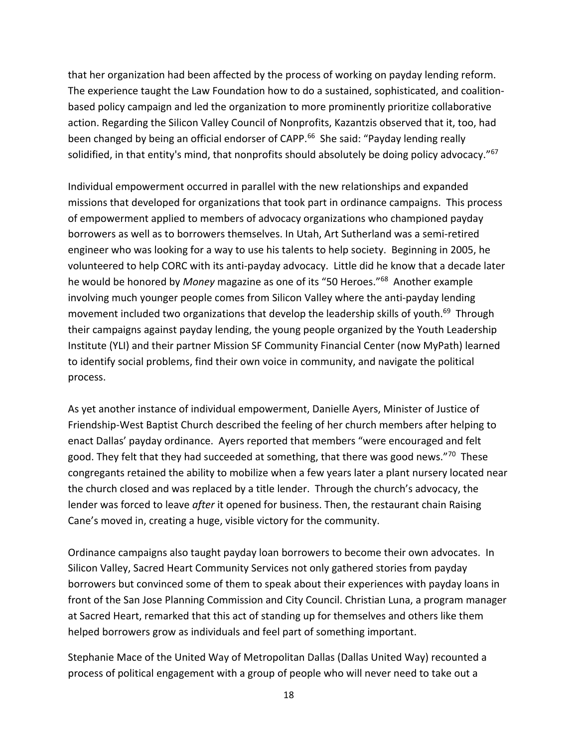that her organization had been affected by the process of working on payday lending reform. The experience taught the Law Foundation how to do a sustained, sophisticated, and coalitionbased policy campaign and led the organization to more prominently prioritize collaborative action. Regarding the Silicon Valley Council of Nonprofits, Kazantzis observed that it, too, had been changed by being an official endorser of CAPP.<sup>66</sup> She said: "Payday lending really solidified, in that entity's mind, that nonprofits should absolutely be doing policy advocacy."<sup>67</sup>

Individual empowerment occurred in parallel with the new relationships and expanded missions that developed for organizations that took part in ordinance campaigns. This process of empowerment applied to members of advocacy organizations who championed payday borrowers as well as to borrowers themselves. In Utah, Art Sutherland was a semi-retired engineer who was looking for a way to use his talents to help society. Beginning in 2005, he volunteered to help CORC with its anti-payday advocacy. Little did he know that a decade later he would be honored by *Money* magazine as one of its "50 Heroes."68 Another example involving much younger people comes from Silicon Valley where the anti-payday lending movement included two organizations that develop the leadership skills of youth.<sup>69</sup> Through their campaigns against payday lending, the young people organized by the Youth Leadership Institute (YLI) and their partner Mission SF Community Financial Center (now MyPath) learned to identify social problems, find their own voice in community, and navigate the political process.

As yet another instance of individual empowerment, Danielle Ayers, Minister of Justice of Friendship-West Baptist Church described the feeling of her church members after helping to enact Dallas' payday ordinance. Ayers reported that members "were encouraged and felt good. They felt that they had succeeded at something, that there was good news."70 These congregants retained the ability to mobilize when a few years later a plant nursery located near the church closed and was replaced by a title lender. Through the church's advocacy, the lender was forced to leave *after* it opened for business. Then, the restaurant chain Raising Cane's moved in, creating a huge, visible victory for the community.

Ordinance campaigns also taught payday loan borrowers to become their own advocates. In Silicon Valley, Sacred Heart Community Services not only gathered stories from payday borrowers but convinced some of them to speak about their experiences with payday loans in front of the San Jose Planning Commission and City Council. Christian Luna, a program manager at Sacred Heart, remarked that this act of standing up for themselves and others like them helped borrowers grow as individuals and feel part of something important.

Stephanie Mace of the United Way of Metropolitan Dallas (Dallas United Way) recounted a process of political engagement with a group of people who will never need to take out a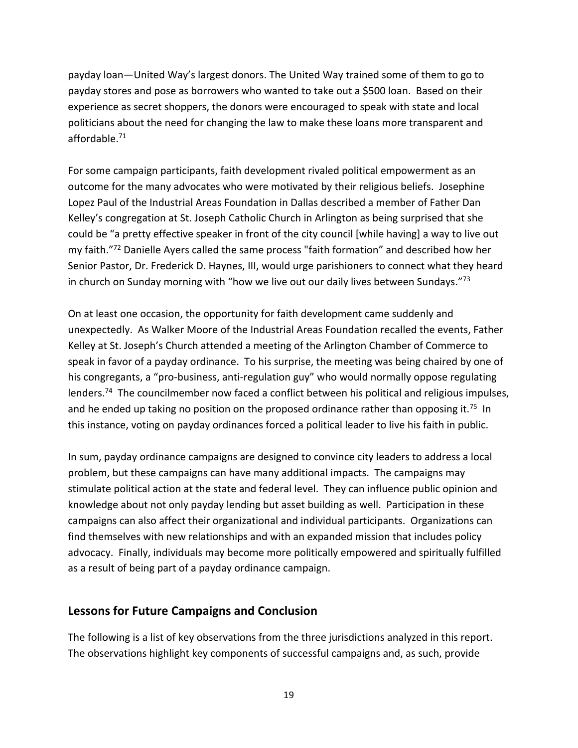payday loan—United Way's largest donors. The United Way trained some of them to go to payday stores and pose as borrowers who wanted to take out a \$500 loan. Based on their experience as secret shoppers, the donors were encouraged to speak with state and local politicians about the need for changing the law to make these loans more transparent and affordable.71

For some campaign participants, faith development rivaled political empowerment as an outcome for the many advocates who were motivated by their religious beliefs. Josephine Lopez Paul of the Industrial Areas Foundation in Dallas described a member of Father Dan Kelley's congregation at St. Joseph Catholic Church in Arlington as being surprised that she could be "a pretty effective speaker in front of the city council [while having] a way to live out my faith."72 Danielle Ayers called the same process "faith formation" and described how her Senior Pastor, Dr. Frederick D. Haynes, III, would urge parishioners to connect what they heard in church on Sunday morning with "how we live out our daily lives between Sundays." $73$ 

On at least one occasion, the opportunity for faith development came suddenly and unexpectedly. As Walker Moore of the Industrial Areas Foundation recalled the events, Father Kelley at St. Joseph's Church attended a meeting of the Arlington Chamber of Commerce to speak in favor of a payday ordinance. To his surprise, the meeting was being chaired by one of his congregants, a "pro-business, anti-regulation guy" who would normally oppose regulating lenders.<sup>74</sup> The councilmember now faced a conflict between his political and religious impulses, and he ended up taking no position on the proposed ordinance rather than opposing it.<sup>75</sup> In this instance, voting on payday ordinances forced a political leader to live his faith in public.

In sum, payday ordinance campaigns are designed to convince city leaders to address a local problem, but these campaigns can have many additional impacts. The campaigns may stimulate political action at the state and federal level. They can influence public opinion and knowledge about not only payday lending but asset building as well. Participation in these campaigns can also affect their organizational and individual participants. Organizations can find themselves with new relationships and with an expanded mission that includes policy advocacy. Finally, individuals may become more politically empowered and spiritually fulfilled as a result of being part of a payday ordinance campaign.

## **Lessons for Future Campaigns and Conclusion**

The following is a list of key observations from the three jurisdictions analyzed in this report. The observations highlight key components of successful campaigns and, as such, provide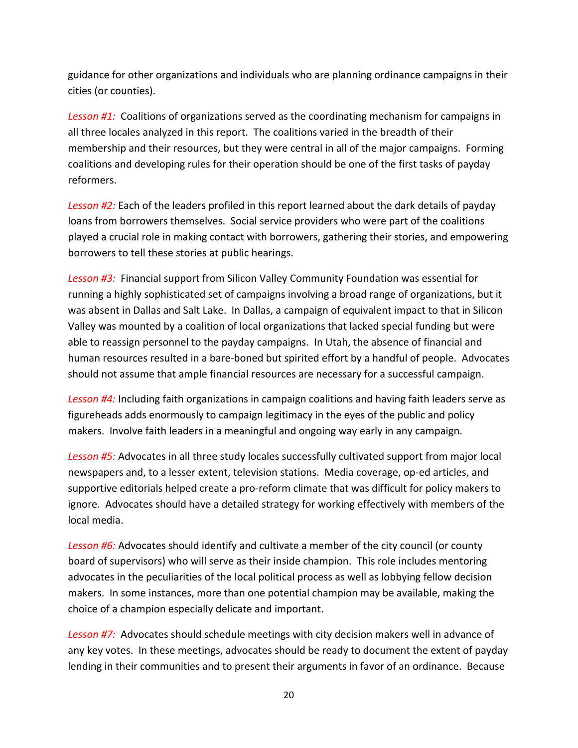guidance for other organizations and individuals who are planning ordinance campaigns in their cities (or counties).

*Lesson #1:* Coalitions of organizations served as the coordinating mechanism for campaigns in all three locales analyzed in this report. The coalitions varied in the breadth of their membership and their resources, but they were central in all of the major campaigns. Forming coalitions and developing rules for their operation should be one of the first tasks of payday reformers.

*Lesson #2:* Each of the leaders profiled in this report learned about the dark details of payday loans from borrowers themselves. Social service providers who were part of the coalitions played a crucial role in making contact with borrowers, gathering their stories, and empowering borrowers to tell these stories at public hearings.

*Lesson #3:* Financial support from Silicon Valley Community Foundation was essential for running a highly sophisticated set of campaigns involving a broad range of organizations, but it was absent in Dallas and Salt Lake. In Dallas, a campaign of equivalent impact to that in Silicon Valley was mounted by a coalition of local organizations that lacked special funding but were able to reassign personnel to the payday campaigns. In Utah, the absence of financial and human resources resulted in a bare-boned but spirited effort by a handful of people. Advocates should not assume that ample financial resources are necessary for a successful campaign.

*Lesson #4:* Including faith organizations in campaign coalitions and having faith leaders serve as figureheads adds enormously to campaign legitimacy in the eyes of the public and policy makers. Involve faith leaders in a meaningful and ongoing way early in any campaign.

*Lesson #5:* Advocates in all three study locales successfully cultivated support from major local newspapers and, to a lesser extent, television stations. Media coverage, op-ed articles, and supportive editorials helped create a pro-reform climate that was difficult for policy makers to ignore. Advocates should have a detailed strategy for working effectively with members of the local media.

*Lesson #6:* Advocates should identify and cultivate a member of the city council (or county board of supervisors) who will serve as their inside champion. This role includes mentoring advocates in the peculiarities of the local political process as well as lobbying fellow decision makers. In some instances, more than one potential champion may be available, making the choice of a champion especially delicate and important.

*Lesson #7:* Advocates should schedule meetings with city decision makers well in advance of any key votes. In these meetings, advocates should be ready to document the extent of payday lending in their communities and to present their arguments in favor of an ordinance. Because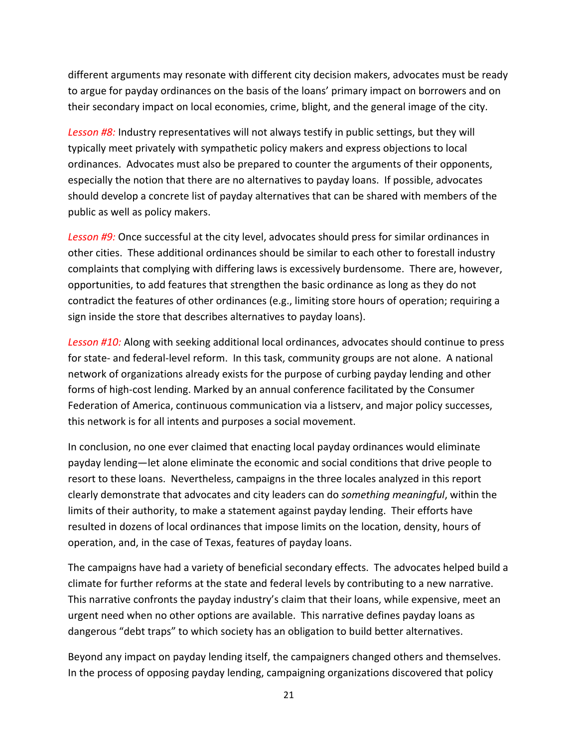different arguments may resonate with different city decision makers, advocates must be ready to argue for payday ordinances on the basis of the loans' primary impact on borrowers and on their secondary impact on local economies, crime, blight, and the general image of the city.

*Lesson #8:* Industry representatives will not always testify in public settings, but they will typically meet privately with sympathetic policy makers and express objections to local ordinances. Advocates must also be prepared to counter the arguments of their opponents, especially the notion that there are no alternatives to payday loans. If possible, advocates should develop a concrete list of payday alternatives that can be shared with members of the public as well as policy makers.

*Lesson #9:* Once successful at the city level, advocates should press for similar ordinances in other cities. These additional ordinances should be similar to each other to forestall industry complaints that complying with differing laws is excessively burdensome. There are, however, opportunities, to add features that strengthen the basic ordinance as long as they do not contradict the features of other ordinances (e.g., limiting store hours of operation; requiring a sign inside the store that describes alternatives to payday loans).

*Lesson #10:* Along with seeking additional local ordinances, advocates should continue to press for state- and federal-level reform. In this task, community groups are not alone. A national network of organizations already exists for the purpose of curbing payday lending and other forms of high-cost lending. Marked by an annual conference facilitated by the Consumer Federation of America, continuous communication via a listserv, and major policy successes, this network is for all intents and purposes a social movement.

In conclusion, no one ever claimed that enacting local payday ordinances would eliminate payday lending—let alone eliminate the economic and social conditions that drive people to resort to these loans. Nevertheless, campaigns in the three locales analyzed in this report clearly demonstrate that advocates and city leaders can do *something meaningful*, within the limits of their authority, to make a statement against payday lending. Their efforts have resulted in dozens of local ordinances that impose limits on the location, density, hours of operation, and, in the case of Texas, features of payday loans.

The campaigns have had a variety of beneficial secondary effects. The advocates helped build a climate for further reforms at the state and federal levels by contributing to a new narrative. This narrative confronts the payday industry's claim that their loans, while expensive, meet an urgent need when no other options are available. This narrative defines payday loans as dangerous "debt traps" to which society has an obligation to build better alternatives.

Beyond any impact on payday lending itself, the campaigners changed others and themselves. In the process of opposing payday lending, campaigning organizations discovered that policy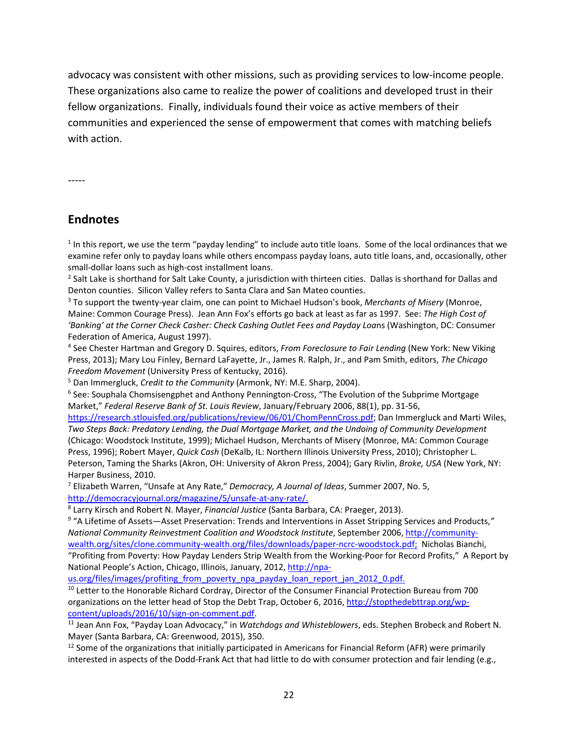advocacy was consistent with other missions, such as providing services to low-income people. These organizations also came to realize the power of coalitions and developed trust in their fellow organizations. Finally, individuals found their voice as active members of their communities and experienced the sense of empowerment that comes with matching beliefs with action.

-----

#### **Endnotes**

 $1$  In this report, we use the term "payday lending" to include auto title loans. Some of the local ordinances that we examine refer only to payday loans while others encompass payday loans, auto title loans, and, occasionally, other small-dollar loans such as high-cost installment loans.

 $2$  Salt Lake is shorthand for Salt Lake County, a jurisdiction with thirteen cities. Dallas is shorthand for Dallas and Denton counties. Silicon Valley refers to Santa Clara and San Mateo counties. 3

 To support the twenty-year claim, one can point to Michael Hudson's book, *Merchants of Misery* (Monroe, Maine: Common Courage Press). Jean Ann Fox's efforts go back at least as far as 1997. See: *The High Cost of 'Banking' at the Corner Check Casher: Check Cashing Outlet Fees and Payday Loa*ns (Washington, DC: Consumer Federation of America, August 1997).

4 See Chester Hartman and Gregory D. Squires, editors, *From Foreclosure to Fair Lending* (New York: New Viking Press, 2013); Mary Lou Finley, Bernard LaFayette, Jr., James R. Ralph, Jr., and Pam Smith, editors, *The Chicago Freedom Movement* (University Press of Kentucky, 2016). 5

<sup>5</sup> Dan Immergluck, *Credit to the Community* (Armonk, NY: M.E. Sharp, 2004).

 $6$  See: Souphala Chomsisengphet and Anthony Pennington-Cross, "The Evolution of the Subprime Mortgage Market," *Federal Reserve Bank of St. Louis Review*, January/February 2006, 88(1), pp. 31-56,

https://research.stlouisfed.org/publications/review/06/01/ChomPennCross.pdf; Dan Immergluck and Marti Wiles, *Two Steps Back: Predatory Lending, the Dual Mortgage Market, and the Undoing of Community Development* (Chicago: Woodstock Institute, 1999); Michael Hudson, Merchants of Misery (Monroe, MA: Common Courage Press, 1996); Robert Mayer, *Quick Cash* (DeKalb, IL: Northern Illinois University Press, 2010); Christopher L. Peterson, Taming the Sharks (Akron, OH: University of Akron Press, 2004); Gary Rivlin, *Broke, USA* (New York, NY: Harper Business, 2010.

7 Elizabeth Warren, "Unsafe at Any Rate," *Democracy, A Journal of Ideas*, Summer 2007, No. 5, http://democracyjournal.org/magazine/5/unsafe-at-any-rate/. 8

Larry Kirsch and Robert N. Mayer, *Financial Justice* (Santa Barbara, CA: Praeger, 2013). 9

 "A Lifetime of Assets—Asset Preservation: Trends and Interventions in Asset Stripping Services and Products,*" National Community Reinvestment Coalition and Woodstock Institute*, September 2006, http://communitywealth.org/sites/clone.community-wealth.org/files/downloads/paper-ncrc-woodstock.pdf; Nicholas Bianchi, "Profiting from Poverty: How Payday Lenders Strip Wealth from the Working-Poor for Record Profits," A Report by National People's Action, Chicago, Illinois, January, 2012, http://npa-

us.org/files/images/profiting\_from\_poverty\_npa\_payday\_loan\_report\_jan\_2012\_0.pdf. 10 Letter to the Honorable Richard Cordray, Director of the Consumer Financial Protection Bureau from 700 organizations on the letter head of Stop the Debt Trap, October 6, 2016, http://stopthedebttrap.org/wp-<br>content/uploads/2016/10/sign-on-comment.pdf.

<sup>11</sup> Jean Ann Fox, "Payday Loan Advocacy," in Watchdogs and Whisteblowers, eds. Stephen Brobeck and Robert N. Mayer (Santa Barbara, CA: Greenwood, 2015), 350.

 $12$  Some of the organizations that initially participated in Americans for Financial Reform (AFR) were primarily interested in aspects of the Dodd-Frank Act that had little to do with consumer protection and fair lending (e.g.,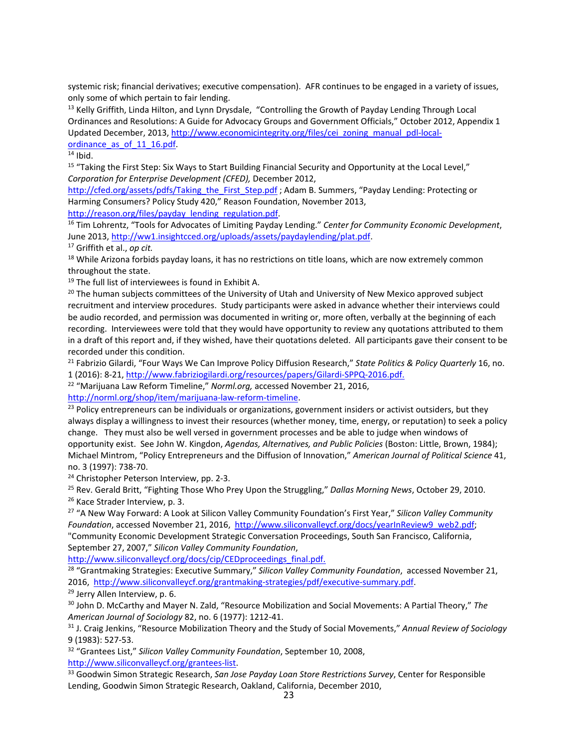systemic risk; financial derivatives; executive compensation). AFR continues to be engaged in a variety of issues, only some of which pertain to fair lending.

<sup>13</sup> Kelly Griffith, Linda Hilton, and Lynn Drysdale, "Controlling the Growth of Payday Lending Through Local Ordinances and Resolutions: A Guide for Advocacy Groups and Government Officials," October 2012, Appendix 1 Updated December, 2013, http://www.economicintegrity.org/files/cei\_zoning\_manual\_pdl-localordinance\_as\_of\_11\_16.pdf. 14 Ibid.

<sup>15</sup> "Taking the First Step: Six Ways to Start Building Financial Security and Opportunity at the Local Level," *Corporation for Enterprise Development (CFED),* December 2012,

http://cfed.org/assets/pdfs/Taking\_the\_First\_Step.pdf ; Adam B. Summers, "Payday Lending: Protecting or Harming Consumers? Policy Study 420," Reason Foundation, November 2013,

http://reason.org/files/payday\_lending\_regulation.pdf.<br><sup>16</sup> Tim Lohrentz, "Tools for Advocates of Limiting Payday Lending." *Center for Community Economic Development*, June 2013, http://ww1.insightcced.org/uploads/assets/paydaylending/plat.pdf. 17 Griffith et al., *op cit.* 

<sup>18</sup> While Arizona forbids payday loans, it has no restrictions on title loans, which are now extremely common throughout the state.

<sup>19</sup> The full list of interviewees is found in Exhibit A.

<sup>20</sup> The human subjects committees of the University of Utah and University of New Mexico approved subject recruitment and interview procedures. Study participants were asked in advance whether their interviews could be audio recorded, and permission was documented in writing or, more often, verbally at the beginning of each recording. Interviewees were told that they would have opportunity to review any quotations attributed to them in a draft of this report and, if they wished, have their quotations deleted. All participants gave their consent to be recorded under this condition.

21 Fabrizio Gilardi, "Four Ways We Can Improve Policy Diffusion Research," *State Politics & Policy Quarterly* 16, no. 1 (2016): 8-21, http://www.fabriziogilardi.org/resources/papers/Gilardi-SPPQ-2016.pdf. 22 "Marijuana Law Reform Timeline," *Norml.org,* accessed November 21, 2016,

http://norml.org/shop/item/marijuana-law-reform-timeline.<br><sup>23</sup> Policy entrepreneurs can be individuals or organizations, government insiders or activist outsiders, but they always display a willingness to invest their resources (whether money, time, energy, or reputation) to seek a policy change. They must also be well versed in government processes and be able to judge when windows of opportunity exist. See John W. Kingdon, *Agendas, Alternatives, and Public Policies* (Boston: Little, Brown, 1984); Michael Mintrom, "Policy Entrepreneurs and the Diffusion of Innovation," *American Journal of Political Science* 41, no. 3 (1997): 738-70.

<sup>24</sup> Christopher Peterson Interview, pp. 2-3.

<sup>25</sup> Rev. Gerald Britt, "Fighting Those Who Prey Upon the Struggling," *Dallas Morning News*, October 29, 2010.<br><sup>26</sup> Kace Strader Interview. p. 3.

27 "A New Way Forward: A Look at Silicon Valley Community Foundation's First Year," *Silicon Valley Community Foundation*, accessed November 21, 2016, http://www.siliconvalleycf.org/docs/yearInReview9\_web2.pdf; "Community Economic Development Strategic Conversation Proceedings, South San Francisco, California,

September 27, 2007," *Silicon Valley Community Foundation*,

http://www.siliconvalleycf.org/docs/cip/CEDproceedings\_final.pdf. 28 "Grantmaking Strategies: Executive Summary," *Silicon Valley Community Foundation*, accessed November 21, 2016, http://www.siliconvalleycf.org/grantmaking-strategies/pdf/executive-summary.pdf.<br><sup>29</sup> Jerry Allen Interview, p. 6.

30 John D. McCarthy and Mayer N. Zald, "Resource Mobilization and Social Movements: A Partial Theory," *The American Journal of Sociology* 82, no. 6 (1977): 1212-41.<br><sup>31</sup> J. Craig Jenkins, "Resource Mobilization Theory and the Study of Social Movements," *Annual Review of Sociology* 

9 (1983): 527-53.

32 "Grantees List," *Silicon Valley Community Foundation*, September 10, 2008,

http://www.siliconvalleycf.org/grantees-list.<br><sup>33</sup> Goodwin Simon Strategic Research, *San Jose Payday Loan Store Restrictions Survey*, Center for Responsible Lending, Goodwin Simon Strategic Research, Oakland, California, December 2010,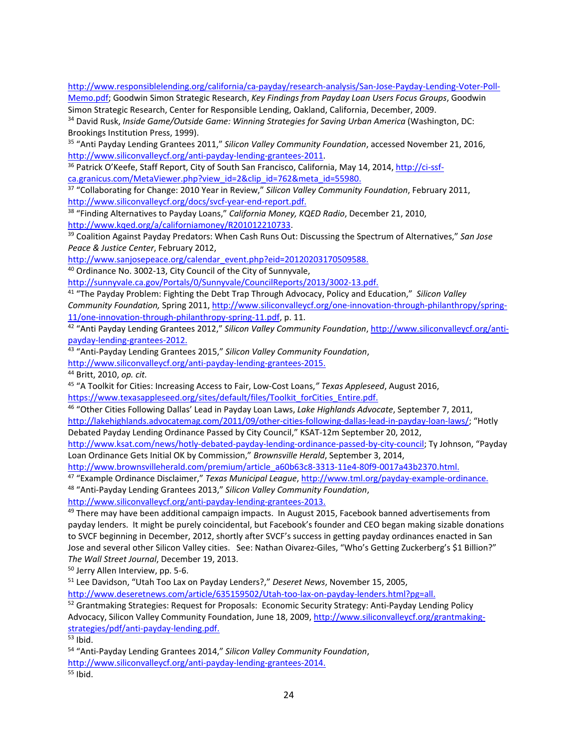http://www.responsiblelending.org/california/ca-payday/research-analysis/San-Jose-Payday-Lending-Voter-Poll-

Memo.pdf; Goodwin Simon Strategic Research, *Key Findings from Payday Loan Users Focus Groups*, Goodwin Simon Strategic Research, Center for Responsible Lending, Oakland, California, December, 2009.<br><sup>34</sup> David Rusk, *Inside Game/Outside Game: Winning Strategies for Saving Urban America* (Washington, DC:

Brookings Institution Press, 1999).

<sup>35</sup> "Anti Payday Lending Grantees 2011," *Silicon Valley Community Foundation*, accessed November 21, 2016, http://www.siliconvalleycf.org/anti-payday-lending-grantees-2011.

<sup>36</sup> Patrick O'Keefe, Staff Report, City of South San Francisco, California, May 14, 2014, http://ci-ssfca.granicus.com/MetaViewer.php?view\_id=2&clip\_id=762&meta\_id=55980.

37 "Collaborating for Change: 2010 Year in Review," *Silicon Valley Community Foundation*, February 2011,

http://www.siliconvalleycf.org/docs/svcf-year-end-report.pdf. 38 "Finding Alternatives to Payday Loans," *California Money, KQED Radio*, December 21, 2010,

http://www.kqed.org/a/californiamoney/R201012210733.<br><sup>39</sup> Coalition Against Payday Predators: When Cash Runs Out: Discussing the Spectrum of Alternatives," *San Jose Peace & Justice Center*, February 2012,

http://www.sanjosepeace.org/calendar\_event.php?eid=20120203170509588. 40 Ordinance No. 3002-13, City Council of the City of Sunnyvale,

http://sunnyvale.ca.gov/Portals/0/Sunnyvale/CouncilReports/2013/3002-13.pdf. 41 "The Payday Problem: Fighting the Debt Trap Through Advocacy, Policy and Education," *Silicon Valley Community Foundation,* Spring 2011, http://www.siliconvalleycf.org/one-innovation-through-philanthropy/spring-

11/one-innovation-through-philanthropy-spring-11.pdf, p. 11. 42 "Anti Payday Lending Grantees 2012," *Silicon Valley Community Foundation*, http://www.siliconvalleycf.org/antipayday-lending-grantees-2012. 43 "Anti-Payday Lending Grantees 2015," *Silicon Valley Community Foundation*,

http://www.siliconvalleycf.org/anti-payday-lending-grantees-2015.<br><sup>44</sup> Britt, 2010, *op. cit.* 45 "A Toolkit for Cities: Increasing Access to Fair, Low-Cost Loans," Texas Appleseed, August 2016, https://www.texasappleseed.org/sites/default/files/Toolkit\_forCities\_Entire.pdf. 46 "Other Cities Following Dallas' Lead in Payday Loan Laws, *Lake Highlands Advocate*, September 7, 2011,

http://lakehighlands.advocatemag.com/2011/09/other-cities-following-dallas-lead-in-payday-loan-laws/; "Hotly Debated Payday Lending Ordinance Passed by City Council," KSAT-12m September 20, 2012,

http://www.ksat.com/news/hotly-debated-payday-lending-ordinance-passed-by-city-council; Ty Johnson, "Payday Loan Ordinance Gets Initial OK by Commission," *Brownsville Herald*, September 3, 2014,

http://www.brownsvilleherald.com/premium/article\_a60b63c8-3313-11e4-80f9-0017a43b2370.html.

47 "Example Ordinance Disclaimer," *Texas Municipal League*, http://www.tml.org/payday-example-ordinance. 48 "Anti-Payday Lending Grantees 2013," *Silicon Valley Community Foundation*,

http://www.siliconvalleycf.org/anti-payday-lending-grantees-2013.<br><sup>49</sup> There may have been additional campaign impacts. In August 2015, Facebook banned advertisements from payday lenders. It might be purely coincidental, but Facebook's founder and CEO began making sizable donations to SVCF beginning in December, 2012, shortly after SVCF's success in getting payday ordinances enacted in San Jose and several other Silicon Valley cities. See: Nathan Oivarez-Giles, "Who's Getting Zuckerberg's \$1 Billion?" *The Wall Street Journal*, December 19, 2013.<br><sup>50</sup> Jerry Allen Interview, pp. 5-6.

<sup>51</sup> Lee Davidson, "Utah Too Lax on Payday Lenders?," *Deseret News*, November 15, 2005,<br>http://www.deseretnews.com/article/635159502/Utah-too-lax-on-payday-lenders.html?pg=all.

<sup>52</sup> Grantmaking Strategies: Request for Proposals: Economic Security Strategy: Anti-Payday Lending Policy Advocacy, Silicon Valley Community Foundation, June 18, 2009, http://www.siliconvalleycf.org/grantmakingstrategies/pdf/anti-payday-lending.pdf.<br><sup>53</sup> Ibid.

54 "Anti-Payday Lending Grantees 2014," *Silicon Valley Community Foundation*, http://www.siliconvalleycf.org/anti-payday-lending-grantees-2014.<br><sup>55</sup> Ibid.